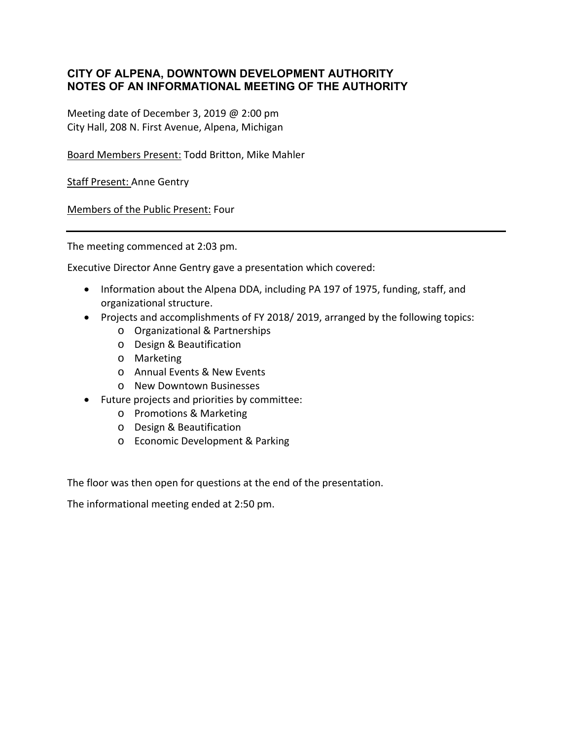## **CITY OF ALPENA, DOWNTOWN DEVELOPMENT AUTHORITY NOTES OF AN INFORMATIONAL MEETING OF THE AUTHORITY**

Meeting date of December 3, 2019 @ 2:00 pm City Hall, 208 N. First Avenue, Alpena, Michigan

Board Members Present: Todd Britton, Mike Mahler

Staff Present: Anne Gentry

Members of the Public Present: Four

The meeting commenced at 2:03 pm.

Executive Director Anne Gentry gave a presentation which covered:

- Information about the Alpena DDA, including PA 197 of 1975, funding, staff, and organizational structure.
- Projects and accomplishments of FY 2018/2019, arranged by the following topics:
	- o Organizational & Partnerships
	- o Design & Beautification
	- o Marketing
	- o Annual Events & New Events
	- o New Downtown Businesses
- Future projects and priorities by committee:
	- o Promotions & Marketing
	- o Design & Beautification
	- o Economic Development & Parking

The floor was then open for questions at the end of the presentation.

The informational meeting ended at 2:50 pm.